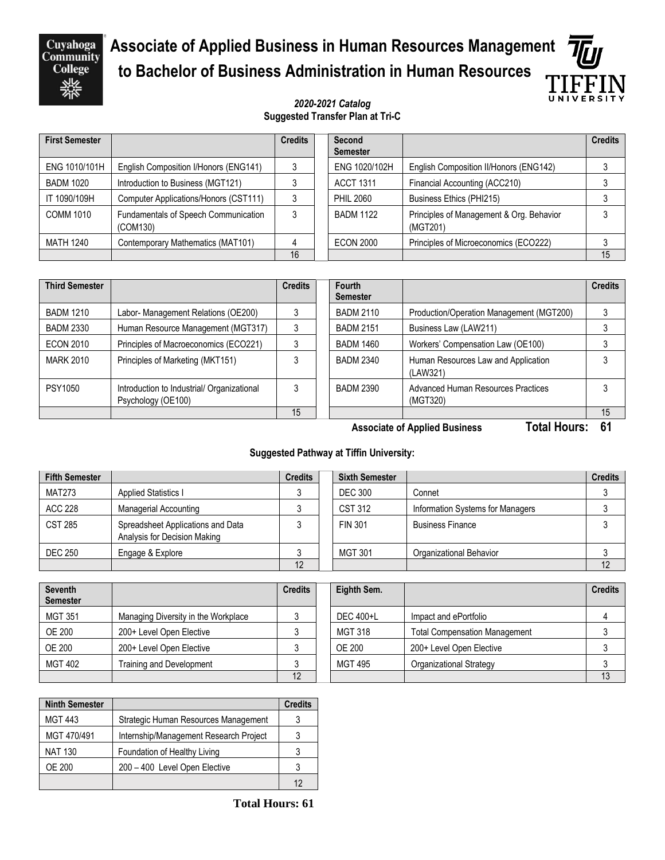Cuyahoga<br>Community **College** 

## **Associate of Applied Business in Human Resources Management to Bachelor of Business Administration in Human Resources**

# UNIVERSIT

#### *2020-2021 Catalog* **Suggested Transfer Plan at Tri-C**

| <b>First Semester</b> |                                                  | <b>Credits</b> | Second<br><b>Semester</b> |                                                      | <b>Credits</b> |
|-----------------------|--------------------------------------------------|----------------|---------------------------|------------------------------------------------------|----------------|
| ENG 1010/101H         | English Composition I/Honors (ENG141)            |                | ENG 1020/102H             | English Composition II/Honors (ENG142)               |                |
| <b>BADM 1020</b>      | Introduction to Business (MGT121)                |                | <b>ACCT 1311</b>          | Financial Accounting (ACC210)                        |                |
| IT 1090/109H          | Computer Applications/Honors (CST111)            | 3              | <b>PHIL 2060</b>          | Business Ethics (PHI215)                             |                |
| COMM 1010             | Fundamentals of Speech Communication<br>(COM130) | 3              | <b>BADM 1122</b>          | Principles of Management & Org. Behavior<br>(MGT201) |                |
| MATH 1240             | Contemporary Mathematics (MAT101)                | 4              | <b>ECON 2000</b>          | Principles of Microeconomics (ECO222)                |                |
|                       |                                                  | 16             |                           |                                                      | 15             |

| <b>Third Semester</b> |                                                                  | <b>Credits</b> | Fourth<br><b>Semester</b> |                                                 | <b>Credits</b> |
|-----------------------|------------------------------------------------------------------|----------------|---------------------------|-------------------------------------------------|----------------|
| <b>BADM 1210</b>      | Labor- Management Relations (OE200)                              |                | <b>BADM 2110</b>          | Production/Operation Management (MGT200)        |                |
| <b>BADM 2330</b>      | Human Resource Management (MGT317)                               |                | <b>BADM 2151</b>          | Business Law (LAW211)                           |                |
| <b>ECON 2010</b>      | Principles of Macroeconomics (ECO221)                            |                | <b>BADM 1460</b>          | Workers' Compensation Law (OE100)               |                |
| <b>MARK 2010</b>      | Principles of Marketing (MKT151)                                 |                | <b>BADM 2340</b>          | Human Resources Law and Application<br>(LAW321) |                |
| PSY1050               | Introduction to Industrial/ Organizational<br>Psychology (OE100) |                | BADM 2390                 | Advanced Human Resources Practices<br>(MGT320)  |                |
|                       |                                                                  | 15             |                           |                                                 | 15             |

**Associate of Applied Business Total Hours: 61**

### **Suggested Pathway at Tiffin University:**

| <b>Fifth Semester</b> |                                                                   | <b>Credits</b> | <b>Sixth Semester</b> |                                  | <b>Credits</b> |
|-----------------------|-------------------------------------------------------------------|----------------|-----------------------|----------------------------------|----------------|
| <b>MAT273</b>         | <b>Applied Statistics I</b>                                       |                | <b>DEC 300</b>        | Connet                           |                |
| ACC 228               | Managerial Accounting                                             |                | CST 312               | Information Systems for Managers |                |
| <b>CST 285</b>        | Spreadsheet Applications and Data<br>Analysis for Decision Making |                | <b>FIN 301</b>        | <b>Business Finance</b>          |                |
| <b>DEC 250</b>        | Engage & Explore                                                  |                | <b>MGT 301</b>        | Organizational Behavior          |                |
|                       |                                                                   | 12             |                       |                                  | 12             |

| <b>Seventh</b><br><b>Semester</b> |                                     | <b>Credits</b> | Eighth Sem.    |                                      | <b>Credits</b> |
|-----------------------------------|-------------------------------------|----------------|----------------|--------------------------------------|----------------|
| <b>MGT 351</b>                    | Managing Diversity in the Workplace |                | DEC 400+L      | Impact and ePortfolio                |                |
| <b>OE 200</b>                     | 200+ Level Open Elective            |                | <b>MGT 318</b> | <b>Total Compensation Management</b> |                |
| <b>OE 200</b>                     | 200+ Level Open Elective            |                | OE 200         | 200+ Level Open Elective             |                |
| <b>MGT 402</b>                    | Training and Development            |                | <b>MGT 495</b> | Organizational Strategy              |                |
|                                   |                                     | 12             |                |                                      |                |

| <b>Ninth Semester</b> |                                        | <b>Credits</b> |
|-----------------------|----------------------------------------|----------------|
| <b>MGT 443</b>        | Strategic Human Resources Management   |                |
| MGT 470/491           | Internship/Management Research Project |                |
| <b>NAT 130</b>        | Foundation of Healthy Living           |                |
| OE 200                | 200 - 400 Level Open Elective          |                |
|                       |                                        | 12             |

 **Total Hours: 61**